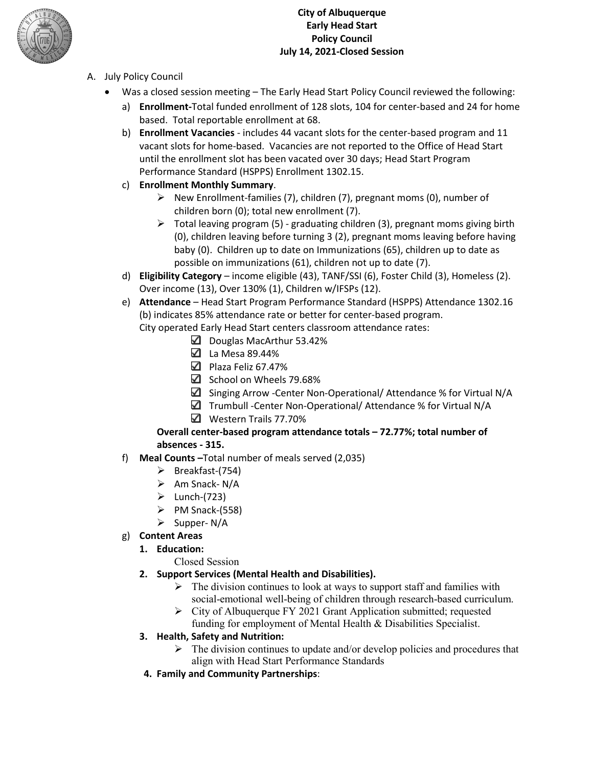

### **City of Albuquerque Early Head Start Policy Council July 14, 2021-Closed Session**

- A. July Policy Council
	- Was a closed session meeting The Early Head Start Policy Council reviewed the following:
		- a) **Enrollment-**Total funded enrollment of 128 slots, 104 for center-based and 24 for home based. Total reportable enrollment at 68.
		- b) **Enrollment Vacancies** includes 44 vacant slots for the center-based program and 11 vacant slots for home-based. Vacancies are not reported to the Office of Head Start until the enrollment slot has been vacated over 30 days; Head Start Program Performance Standard (HSPPS) Enrollment 1302.15.
		- c) **Enrollment Monthly Summary**.
			- $\triangleright$  New Enrollment-families (7), children (7), pregnant moms (0), number of children born (0); total new enrollment (7).
			- $\triangleright$  Total leaving program (5) graduating children (3), pregnant moms giving birth (0), children leaving before turning 3 (2), pregnant moms leaving before having baby (0). Children up to date on Immunizations (65), children up to date as possible on immunizations (61), children not up to date (7).
		- d) **Eligibility Category** income eligible (43), TANF/SSI (6), Foster Child (3), Homeless (2). Over income (13), Over 130% (1), Children w/IFSPs (12).
		- e) **Attendance** Head Start Program Performance Standard (HSPPS) Attendance 1302.16 (b) indicates 85% attendance rate or better for center-based program.

City operated Early Head Start centers classroom attendance rates:

- Douglas MacArthur 53.42%
- La Mesa 89.44%
- Plaza Feliz 67.47%
- $\boxtimes$  School on Wheels 79.68%
- Singing Arrow -Center Non-Operational/ Attendance % for Virtual N/A
- $\Box$  Trumbull -Center Non-Operational/ Attendance % for Virtual N/A
- Western Trails 77.70%

### **Overall center-based program attendance totals – 72.77%; total number of absences - 315.**

- f) **Meal Counts –**Total number of meals served (2,035)
	- $\triangleright$  Breakfast-(754)
	- $\triangleright$  Am Snack- N/A
	- $\blacktriangleright$  Lunch-(723)
	- $\triangleright$  PM Snack-(558)
	- $\triangleright$  Supper- N/A
- g) **Content Areas**

### **1. Education:**

Closed Session

### **2. Support Services (Mental Health and Disabilities).**

- $\triangleright$  The division continues to look at ways to support staff and families with social-emotional well-being of children through research-based curriculum.
- $\triangleright$  City of Albuquerque FY 2021 Grant Application submitted; requested funding for employment of Mental Health & Disabilities Specialist.

### **3. Health, Safety and Nutrition:**

- $\triangleright$  The division continues to update and/or develop policies and procedures that align with Head Start Performance Standards
- **4. Family and Community Partnerships**: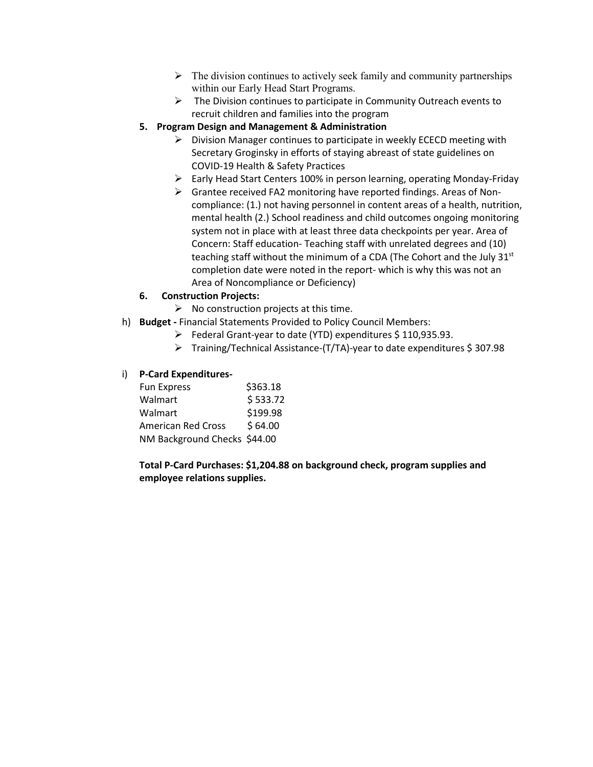- $\triangleright$  The division continues to actively seek family and community partnerships within our Early Head Start Programs.
- $\triangleright$  The Division continues to participate in Community Outreach events to recruit children and families into the program
- **5. Program Design and Management & Administration** 
	- $\triangleright$  Division Manager continues to participate in weekly ECECD meeting with Secretary Groginsky in efforts of staying abreast of state guidelines on COVID-19 Health & Safety Practices
	- $\triangleright$  Early Head Start Centers 100% in person learning, operating Monday-Friday
	- Grantee received FA2 monitoring have reported findings. Areas of Noncompliance: (1.) not having personnel in content areas of a health, nutrition, mental health (2.) School readiness and child outcomes ongoing monitoring system not in place with at least three data checkpoints per year. Area of Concern: Staff education- Teaching staff with unrelated degrees and (10) teaching staff without the minimum of a CDA (The Cohort and the July 31<sup>st</sup> completion date were noted in the report- which is why this was not an Area of Noncompliance or Deficiency)

#### **6. Construction Projects:**

- $\triangleright$  No construction projects at this time.
- h) **Budget -** Financial Statements Provided to Policy Council Members:
	- $\triangleright$  Federal Grant-year to date (YTD) expenditures \$110,935.93.
	- Training/Technical Assistance-(T/TA)-year to date expenditures \$ 307.98

#### i) **P-Card Expenditures-**

| <b>Fun Express</b>           | \$363.18 |
|------------------------------|----------|
| Walmart                      | \$533.72 |
| Walmart                      | \$199.98 |
| <b>American Red Cross</b>    | \$64.00  |
| NM Background Checks \$44.00 |          |
|                              |          |

**Total P-Card Purchases: \$1,204.88 on background check, program supplies and employee relations supplies.**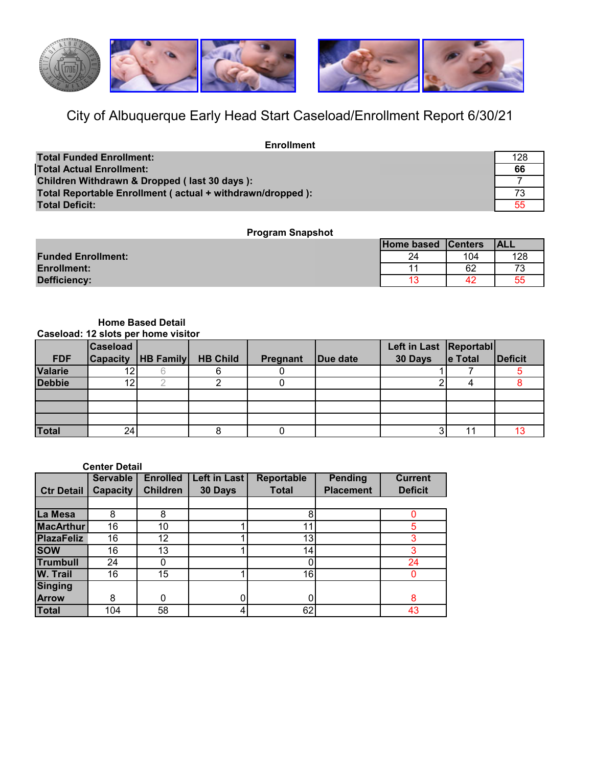

# City of Albuquerque Early Head Start Caseload/Enrollment Report 6/30/21

| <b>Enrollment</b>                                         |     |
|-----------------------------------------------------------|-----|
| <b>Total Funded Enrollment:</b>                           | 128 |
| <b>Total Actual Enrollment:</b>                           | 66  |
| Children Withdrawn & Dropped (last 30 days):              |     |
| Total Reportable Enrollment (actual + withdrawn/dropped): |     |
| Total Deficit:                                            |     |

### **Program Snapshot**

|                           | Home based Centers |     | <b>ALL</b> |
|---------------------------|--------------------|-----|------------|
| <b>Funded Enrollment:</b> | 24                 | 104 | 128        |
| <b>Enrollment:</b>        | 11                 | 62  |            |
| Defficiency:              | -4.2               |     | 55         |

#### **Caseload: 12 slots per home visitor Home Based Detail**

|               | <b>Caseload</b> |                      |                 |          |          | Left in Last Reportabl |                 |         |
|---------------|-----------------|----------------------|-----------------|----------|----------|------------------------|-----------------|---------|
| <b>FDF</b>    |                 | Capacity   HB Family | <b>HB Child</b> | Pregnant | Due date | 30 Days                | $\vert$ e Total | Deficit |
| Valarie       |                 |                      |                 |          |          |                        |                 |         |
| <b>Debbie</b> | ィウ              |                      |                 |          |          |                        |                 |         |
|               |                 |                      |                 |          |          |                        |                 |         |
|               |                 |                      |                 |          |          |                        |                 |         |
|               |                 |                      |                 |          |          |                        |                 |         |
| <b>Total</b>  | 24 <sub>1</sub> |                      |                 |          |          |                        |                 |         |

#### **Center Detail**

|                   | <b>Servable</b> | <b>Enrolled</b>   | Left in Last | Reportable      | Pending          | <b>Current</b> |
|-------------------|-----------------|-------------------|--------------|-----------------|------------------|----------------|
| <b>Ctr Detail</b> | <b>Capacity</b> | <b>Children</b>   | 30 Days      | <b>Total</b>    | <b>Placement</b> | <b>Deficit</b> |
|                   |                 |                   |              |                 |                  |                |
| La Mesa           | 8               | 8                 |              | 8               |                  |                |
| <b>MacArthur</b>  | 16              | 10                |              | 11              |                  |                |
| <b>PlazaFeliz</b> | 16              | $12 \overline{ }$ |              | 13              |                  |                |
| <b>SOW</b>        | 16              | 13                |              | 14 <sub>1</sub> |                  |                |
| <b>Trumbull</b>   | 24              |                   |              |                 |                  | 24             |
| <b>W. Trail</b>   | 16              | 15                |              | 16 <sub>1</sub> |                  |                |
| Singing           |                 |                   |              |                 |                  |                |
| <b>Arrow</b>      | 8               | 0                 |              | 0               |                  | 8              |
| <b>Total</b>      | 104             | 58                | 4            | 62              |                  | 43             |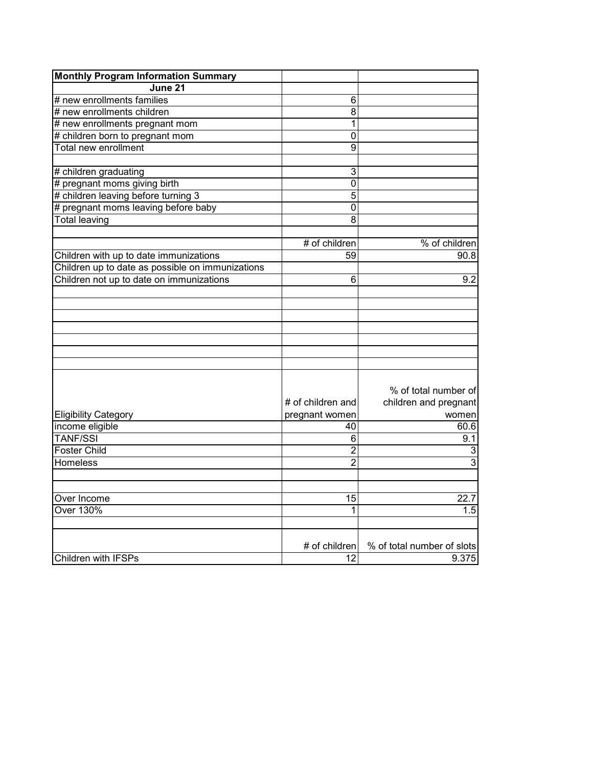| <b>Monthly Program Information Summary</b>       |                   |                            |
|--------------------------------------------------|-------------------|----------------------------|
| June 21                                          |                   |                            |
| # new enrollments families                       | 6                 |                            |
| # new enrollments children                       | 8                 |                            |
| # new enrollments pregnant mom                   | 1                 |                            |
| # children born to pregnant mom                  | 0                 |                            |
| Total new enrollment                             | $\overline{9}$    |                            |
|                                                  |                   |                            |
| # children graduating                            | 3                 |                            |
| # pregnant moms giving birth                     | $\mathbf 0$       |                            |
| # children leaving before turning 3              | $\overline{5}$    |                            |
| # pregnant moms leaving before baby              | $\overline{0}$    |                            |
| <b>Total leaving</b>                             | $\overline{8}$    |                            |
|                                                  |                   |                            |
|                                                  | # of children     | % of children              |
| Children with up to date immunizations           | 59                | 90.8                       |
| Children up to date as possible on immunizations |                   |                            |
| Children not up to date on immunizations         | 6                 | 9.2                        |
|                                                  |                   |                            |
|                                                  |                   |                            |
|                                                  |                   |                            |
|                                                  |                   |                            |
|                                                  |                   |                            |
|                                                  |                   |                            |
|                                                  |                   |                            |
|                                                  |                   |                            |
|                                                  |                   | % of total number of       |
|                                                  | # of children and | children and pregnant      |
| <b>Eligibility Category</b>                      | pregnant women    | women                      |
| income eligible                                  | 40                | 60.6                       |
| <b>TANF/SSI</b>                                  | 6                 | 9.1                        |
| <b>Foster Child</b>                              | $\overline{2}$    | 3                          |
| <b>Homeless</b>                                  | $\overline{2}$    | 3                          |
|                                                  |                   |                            |
|                                                  |                   |                            |
| Over Income                                      | 15                | 22.7                       |
| <b>Over 130%</b>                                 | 1                 | 1.5                        |
|                                                  |                   |                            |
|                                                  |                   |                            |
|                                                  | # of children     | % of total number of slots |
| <b>Children with IFSPs</b>                       | 12                | 9.375                      |
|                                                  |                   |                            |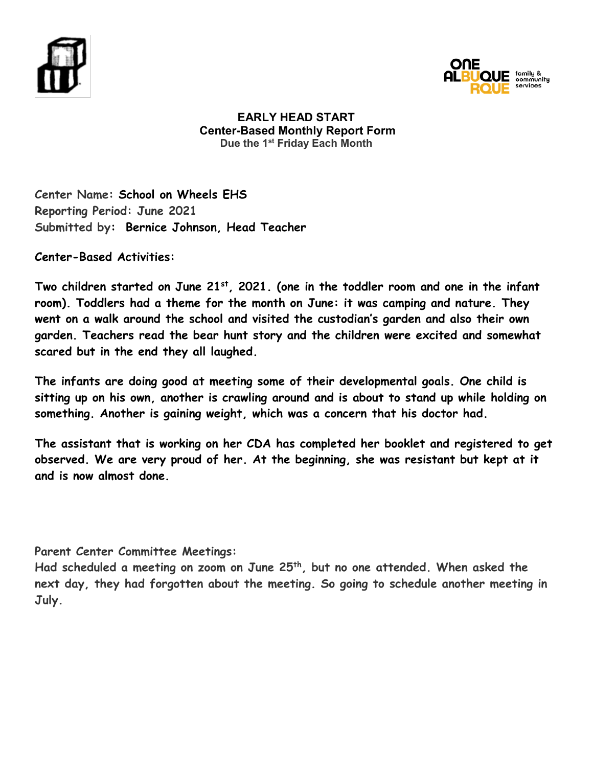



### **EARLY HEAD START Center-Based Monthly Report Form Due the 1st Friday Each Month**

**Center Name: School on Wheels EHS Reporting Period: June 2021 Submitted by: Bernice Johnson, Head Teacher**

**Center-Based Activities:** 

Two children started on June 21<sup>st</sup>, 2021. (one in the toddler room and one in the infant **room). Toddlers had a theme for the month on June: it was camping and nature. They went on a walk around the school and visited the custodian's garden and also their own garden. Teachers read the bear hunt story and the children were excited and somewhat scared but in the end they all laughed.** 

**The infants are doing good at meeting some of their developmental goals. One child is sitting up on his own, another is crawling around and is about to stand up while holding on something. Another is gaining weight, which was a concern that his doctor had.** 

**The assistant that is working on her CDA has completed her booklet and registered to get observed. We are very proud of her. At the beginning, she was resistant but kept at it and is now almost done.**

**Parent Center Committee Meetings:**

**Had scheduled a meeting on zoom on June 25th, but no one attended. When asked the next day, they had forgotten about the meeting. So going to schedule another meeting in July.**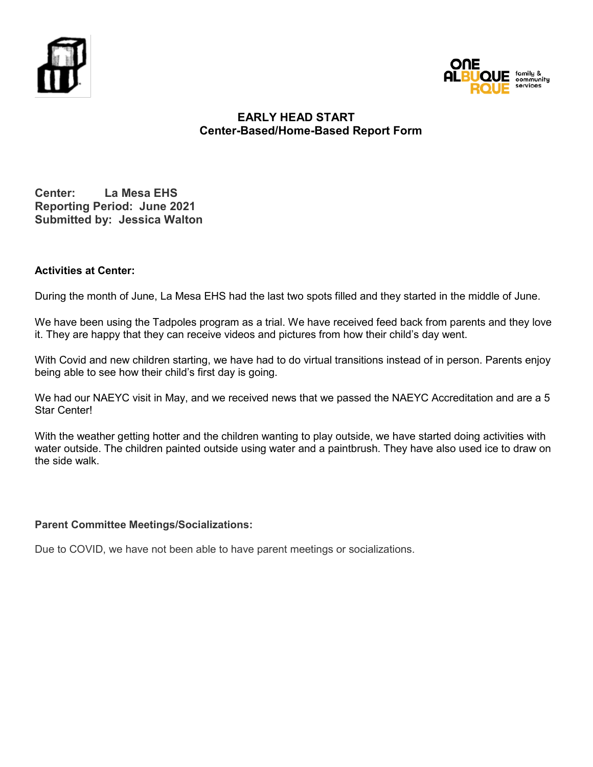



### **EARLY HEAD START Center-Based/Home-Based Report Form**

**Center: La Mesa EHS Reporting Period: June 2021 Submitted by: Jessica Walton**

### **Activities at Center:**

During the month of June, La Mesa EHS had the last two spots filled and they started in the middle of June.

We have been using the Tadpoles program as a trial. We have received feed back from parents and they love it. They are happy that they can receive videos and pictures from how their child's day went.

With Covid and new children starting, we have had to do virtual transitions instead of in person. Parents enjoy being able to see how their child's first day is going.

We had our NAEYC visit in May, and we received news that we passed the NAEYC Accreditation and are a 5 Star Center!

With the weather getting hotter and the children wanting to play outside, we have started doing activities with water outside. The children painted outside using water and a paintbrush. They have also used ice to draw on the side walk.

### **Parent Committee Meetings/Socializations:**

Due to COVID, we have not been able to have parent meetings or socializations.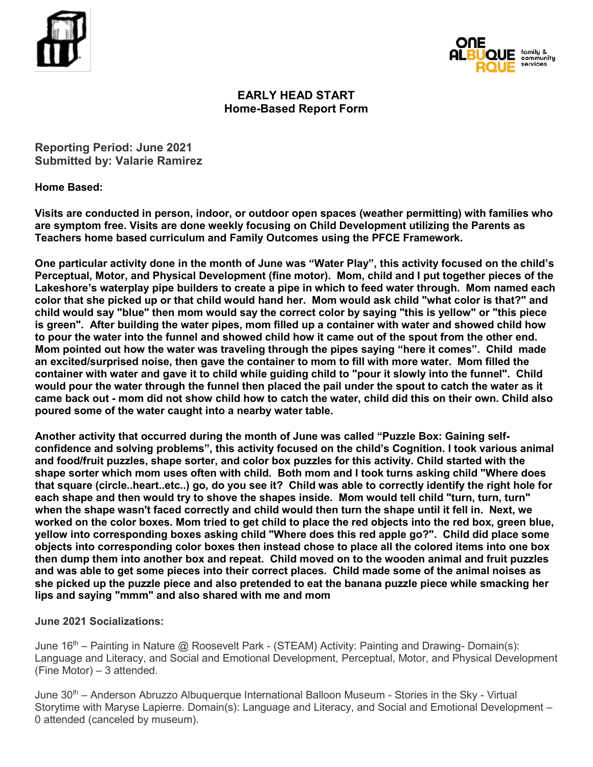



### **EARLY HEAD START Home-Based Report Form**

**Reporting Period: June 2021 Submitted by: Valarie Ramirez** 

**Home Based:** 

**Visits are conducted in person, indoor, or outdoor open spaces (weather permitting) with families who are symptom free. Visits are done weekly focusing on Child Development utilizing the Parents as Teachers home based curriculum and Family Outcomes using the PFCE Framework.** 

**One particular activity done in the month of June was "Water Play", this activity focused on the child's Perceptual, Motor, and Physical Development (fine motor). Mom, child and I put together pieces of the Lakeshore's waterplay pipe builders to create a pipe in which to feed water through. Mom named each color that she picked up or that child would hand her. Mom would ask child "what color is that?" and child would say "blue" then mom would say the correct color by saying "this is yellow" or "this piece is green". After building the water pipes, mom filled up a container with water and showed child how to pour the water into the funnel and showed child how it came out of the spout from the other end. Mom pointed out how the water was traveling through the pipes saying "here it comes". Child made an excited/surprised noise, then gave the container to mom to fill with more water. Mom filled the container with water and gave it to child while guiding child to "pour it slowly into the funnel". Child would pour the water through the funnel then placed the pail under the spout to catch the water as it came back out - mom did not show child how to catch the water, child did this on their own. Child also poured some of the water caught into a nearby water table.** 

**Another activity that occurred during the month of June was called "Puzzle Box: Gaining selfconfidence and solving problems", this activity focused on the child's Cognition. I took various animal and food/fruit puzzles, shape sorter, and color box puzzles for this activity. Child started with the shape sorter which mom uses often with child. Both mom and I took turns asking child "Where does that square (circle..heart..etc..) go, do you see it? Child was able to correctly identify the right hole for each shape and then would try to shove the shapes inside. Mom would tell child "turn, turn, turn" when the shape wasn't faced correctly and child would then turn the shape until it fell in. Next, we worked on the color boxes. Mom tried to get child to place the red objects into the red box, green blue, yellow into corresponding boxes asking child "Where does this red apple go?". Child did place some objects into corresponding color boxes then instead chose to place all the colored items into one box then dump them into another box and repeat. Child moved on to the wooden animal and fruit puzzles and was able to get some pieces into their correct places. Child made some of the animal noises as she picked up the puzzle piece and also pretended to eat the banana puzzle piece while smacking her lips and saying "mmm" and also shared with me and mom**

**June 2021 Socializations:**

June 16th – Painting in Nature @ Roosevelt Park - (STEAM) Activity: Painting and Drawing- Domain(s): Language and Literacy, and Social and Emotional Development, Perceptual, Motor, and Physical Development (Fine Motor) – 3 attended.

June 30<sup>th</sup> – Anderson Abruzzo Albuquerque International Balloon Museum - Stories in the Sky - Virtual Storytime with Maryse Lapierre. Domain(s): Language and Literacy, and Social and Emotional Development – 0 attended (canceled by museum).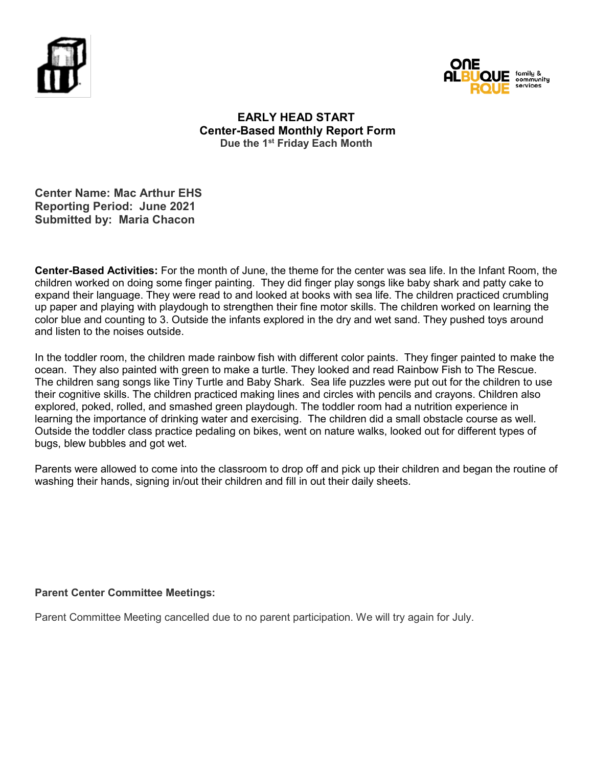



### **EARLY HEAD START Center-Based Monthly Report Form Due the 1st Friday Each Month**

### **Center Name: Mac Arthur EHS Reporting Period: June 2021 Submitted by: Maria Chacon**

**Center-Based Activities:** For the month of June, the theme for the center was sea life. In the Infant Room, the children worked on doing some finger painting. They did finger play songs like baby shark and patty cake to expand their language. They were read to and looked at books with sea life. The children practiced crumbling up paper and playing with playdough to strengthen their fine motor skills. The children worked on learning the color blue and counting to 3. Outside the infants explored in the dry and wet sand. They pushed toys around and listen to the noises outside.

In the toddler room, the children made rainbow fish with different color paints. They finger painted to make the ocean. They also painted with green to make a turtle. They looked and read Rainbow Fish to The Rescue. The children sang songs like Tiny Turtle and Baby Shark. Sea life puzzles were put out for the children to use their cognitive skills. The children practiced making lines and circles with pencils and crayons. Children also explored, poked, rolled, and smashed green playdough. The toddler room had a nutrition experience in learning the importance of drinking water and exercising. The children did a small obstacle course as well. Outside the toddler class practice pedaling on bikes, went on nature walks, looked out for different types of bugs, blew bubbles and got wet.

Parents were allowed to come into the classroom to drop off and pick up their children and began the routine of washing their hands, signing in/out their children and fill in out their daily sheets.

### **Parent Center Committee Meetings:**

Parent Committee Meeting cancelled due to no parent participation. We will try again for July.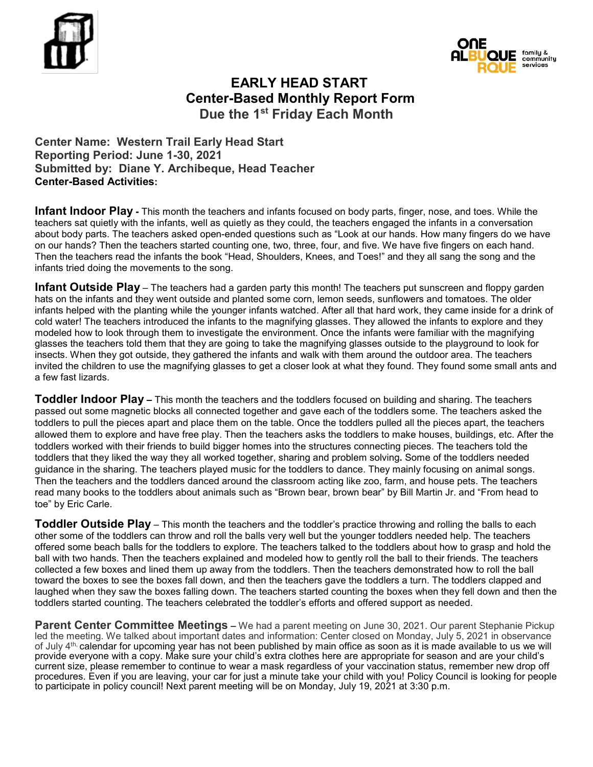



## **EARLY HEAD START Center-Based Monthly Report Form Due the 1st Friday Each Month**

**Center Name: Western Trail Early Head Start Reporting Period: June 1-30, 2021 Submitted by: Diane Y. Archibeque, Head Teacher Center-Based Activities:**

**Infant Indoor Play -** This month the teachers and infants focused on body parts, finger, nose, and toes. While the teachers sat quietly with the infants, well as quietly as they could, the teachers engaged the infants in a conversation about body parts. The teachers asked open-ended questions such as "Look at our hands. How many fingers do we have on our hands? Then the teachers started counting one, two, three, four, and five. We have five fingers on each hand. Then the teachers read the infants the book "Head, Shoulders, Knees, and Toes!" and they all sang the song and the infants tried doing the movements to the song.

**Infant Outside Play** – The teachers had a garden party this month! The teachers put sunscreen and floppy garden hats on the infants and they went outside and planted some corn, lemon seeds, sunflowers and tomatoes. The older infants helped with the planting while the younger infants watched. After all that hard work, they came inside for a drink of cold water! The teachers introduced the infants to the magnifying glasses. They allowed the infants to explore and they modeled how to look through them to investigate the environment. Once the infants were familiar with the magnifying glasses the teachers told them that they are going to take the magnifying glasses outside to the playground to look for insects. When they got outside, they gathered the infants and walk with them around the outdoor area. The teachers invited the children to use the magnifying glasses to get a closer look at what they found. They found some small ants and a few fast lizards.

**Toddler Indoor Play –** This month the teachers and the toddlers focused on building and sharing. The teachers passed out some magnetic blocks all connected together and gave each of the toddlers some. The teachers asked the toddlers to pull the pieces apart and place them on the table. Once the toddlers pulled all the pieces apart, the teachers allowed them to explore and have free play. Then the teachers asks the toddlers to make houses, buildings, etc. After the toddlers worked with their friends to build bigger homes into the structures connecting pieces. The teachers told the toddlers that they liked the way they all worked together, sharing and problem solving**.** Some of the toddlers needed guidance in the sharing. The teachers played music for the toddlers to dance. They mainly focusing on animal songs. Then the teachers and the toddlers danced around the classroom acting like zoo, farm, and house pets. The teachers read many books to the toddlers about animals such as "Brown bear, brown bear" by Bill Martin Jr. and "From head to toe" by Eric Carle.

**Toddler Outside Play** – This month the teachers and the toddler's practice throwing and rolling the balls to each other some of the toddlers can throw and roll the balls very well but the younger toddlers needed help. The teachers offered some beach balls for the toddlers to explore. The teachers talked to the toddlers about how to grasp and hold the ball with two hands. Then the teachers explained and modeled how to gently roll the ball to their friends. The teachers collected a few boxes and lined them up away from the toddlers. Then the teachers demonstrated how to roll the ball toward the boxes to see the boxes fall down, and then the teachers gave the toddlers a turn. The toddlers clapped and laughed when they saw the boxes falling down. The teachers started counting the boxes when they fell down and then the toddlers started counting. The teachers celebrated the toddler's efforts and offered support as needed.

**Parent Center Committee Meetings –** We had a parent meeting on June 30, 2021. Our parent Stephanie Pickup led the meeting. We talked about important dates and information: Center closed on Monday, July 5, 2021 in observance of July 4<sup>th,</sup> calendar for upcoming year has not been published by main office as soon as it is made available to us we will provide everyone with a copy. Make sure your child's extra clothes here are appropriate for season and are your child's current size, please remember to continue to wear a mask regardless of your vaccination status, remember new drop off procedures. Even if you are leaving, your car for just a minute take your child with you! Policy Council is looking for people to participate in policy council! Next parent meeting will be on Monday, July 19, 2021 at 3:30 p.m.